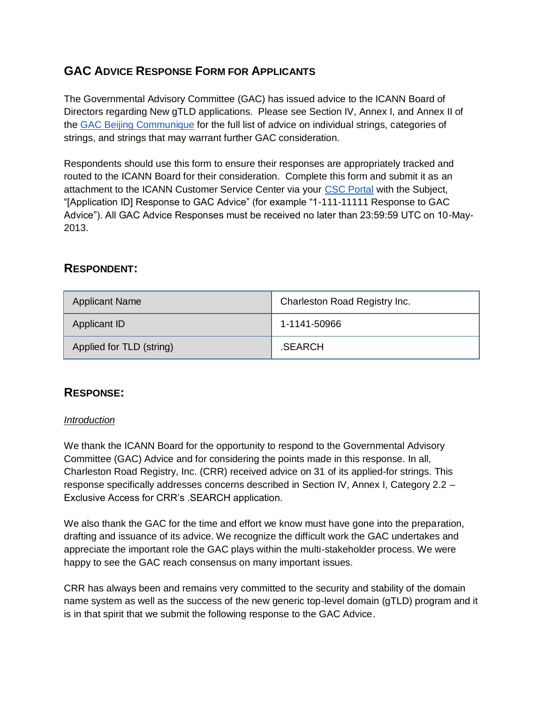# **GAC ADVICE RESPONSE FORM FOR APPLICANTS**

The Governmental Advisory Committee (GAC) has issued advice to the ICANN Board of Directors regarding New gTLD applications. Please see Section IV, Annex I, and Annex II of th[e](http://www.icann.org/en/news/correspondence/gac-to-board-18apr13-en.pdf) [GAC Beijing Communique](http://www.icann.org/en/news/correspondence/gac-to-board-18apr13-en.pdf) for the full list of advice on individual strings, categories of strings, and strings that may warrant further GAC consideration.

Respondents should use this form to ensure their responses are appropriately tracked and routed to the ICANN Board for their consideration. Complete this form and submit it as an attachment to the ICANN Customer Service Center via your [CSC Portal](https://myicann.secure.force.com/) with the Subject, "[Application ID] Response to GAC Advice" (for example "1-111-11111 Response to GAC Advice"). All GAC Advice Responses must be received no later than 23:59:59 UTC on 10-May-2013.

## **RESPONDENT:**

| <b>Applicant Name</b>    | Charleston Road Registry Inc. |
|--------------------------|-------------------------------|
| Applicant ID             | 1-1141-50966                  |
| Applied for TLD (string) | .SEARCH                       |

## **RESPONSE:**

#### *Introduction*

We thank the ICANN Board for the opportunity to respond to the Governmental Advisory Committee (GAC) Advice and for considering the points made in this response. In all, Charleston Road Registry, Inc. (CRR) received advice on 31 of its applied-for strings. This response specifically addresses concerns described in Section IV, Annex I, Category 2.2 – Exclusive Access for CRR's .SEARCH application.

We also thank the GAC for the time and effort we know must have gone into the preparation, drafting and issuance of its advice. We recognize the difficult work the GAC undertakes and appreciate the important role the GAC plays within the multi-stakeholder process. We were happy to see the GAC reach consensus on many important issues.

CRR has always been and remains very committed to the security and stability of the domain name system as well as the success of the new generic top-level domain (gTLD) program and it is in that spirit that we submit the following response to the GAC Advice.